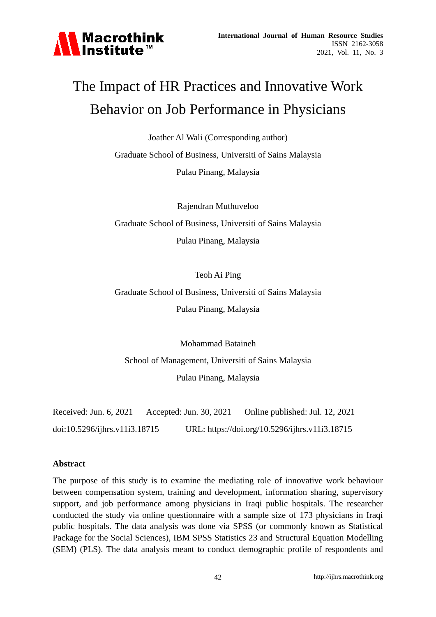

# The Impact of HR Practices and Innovative Work Behavior on Job Performance in Physicians

Joather Al Wali (Corresponding author)

Graduate School of Business, Universiti of Sains Malaysia

Pulau Pinang, Malaysia

Rajendran Muthuveloo Graduate School of Business, Universiti of Sains Malaysia Pulau Pinang, Malaysia

Teoh Ai Ping

Graduate School of Business, Universiti of Sains Malaysia Pulau Pinang, Malaysia

Mohammad Bataineh School of Management, Universiti of Sains Malaysia Pulau Pinang, Malaysia

Received: Jun. 6, 2021 Accepted: Jun. 30, 2021 Online published: Jul. 12, 2021 doi:10.5296/ijhrs.v11i3.18715 URL: https://doi.org/10.5296/ijhrs.v11i3.18715

# **Abstract**

The purpose of this study is to examine the mediating role of innovative work behaviour between compensation system, training and development, information sharing, supervisory support, and job performance among physicians in Iraqi public hospitals. The researcher conducted the study via online questionnaire with a sample size of 173 physicians in Iraqi public hospitals. The data analysis was done via SPSS (or commonly known as Statistical Package for the Social Sciences), IBM SPSS Statistics 23 and Structural Equation Modelling (SEM) (PLS). The data analysis meant to conduct demographic profile of respondents and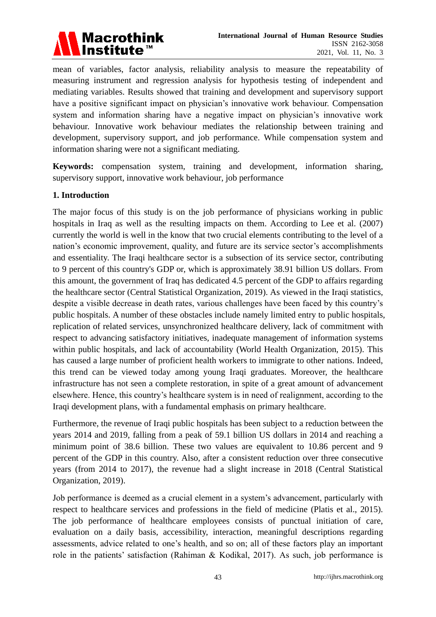

mean of variables, factor analysis, reliability analysis to measure the repeatability of measuring instrument and regression analysis for hypothesis testing of independent and mediating variables. Results showed that training and development and supervisory support have a positive significant impact on physician's innovative work behaviour. Compensation system and information sharing have a negative impact on physician's innovative work behaviour. Innovative work behaviour mediates the relationship between training and development, supervisory support, and job performance. While compensation system and information sharing were not a significant mediating.

**Keywords:** compensation system, training and development, information sharing, supervisory support, innovative work behaviour, job performance

#### **1. Introduction**

The major focus of this study is on the job performance of physicians working in public hospitals in Iraq as well as the resulting impacts on them. According to Lee et al. (2007) currently the world is well in the know that two crucial elements contributing to the level of a nation's economic improvement, quality, and future are its service sector's accomplishments and essentiality. The Iraqi healthcare sector is a subsection of its service sector, contributing to 9 percent of this country's GDP or, which is approximately 38.91 billion US dollars. From this amount, the government of Iraq has dedicated 4.5 percent of the GDP to affairs regarding the healthcare sector (Central Statistical Organization, 2019). As viewed in the Iraqi statistics, despite a visible decrease in death rates, various challenges have been faced by this country's public hospitals. A number of these obstacles include namely limited entry to public hospitals, replication of related services, unsynchronized healthcare delivery, lack of commitment with respect to advancing satisfactory initiatives, inadequate management of information systems within public hospitals, and lack of accountability (World Health Organization, 2015). This has caused a large number of proficient health workers to immigrate to other nations. Indeed, this trend can be viewed today among young Iraqi graduates. Moreover, the healthcare infrastructure has not seen a complete restoration, in spite of a great amount of advancement elsewhere. Hence, this country's healthcare system is in need of realignment, according to the Iraqi development plans, with a fundamental emphasis on primary healthcare.

Furthermore, the revenue of Iraqi public hospitals has been subject to a reduction between the years 2014 and 2019, falling from a peak of 59.1 billion US dollars in 2014 and reaching a minimum point of 38.6 billion. These two values are equivalent to 10.86 percent and 9 percent of the GDP in this country. Also, after a consistent reduction over three consecutive years (from 2014 to 2017), the revenue had a slight increase in 2018 (Central Statistical Organization, 2019).

Job performance is deemed as a crucial element in a system's advancement, particularly with respect to healthcare services and professions in the field of medicine (Platis et al., 2015). The job performance of healthcare employees consists of punctual initiation of care, evaluation on a daily basis, accessibility, interaction, meaningful descriptions regarding assessments, advice related to one's health, and so on; all of these factors play an important role in the patients' satisfaction (Rahiman & Kodikal, 2017). As such, job performance is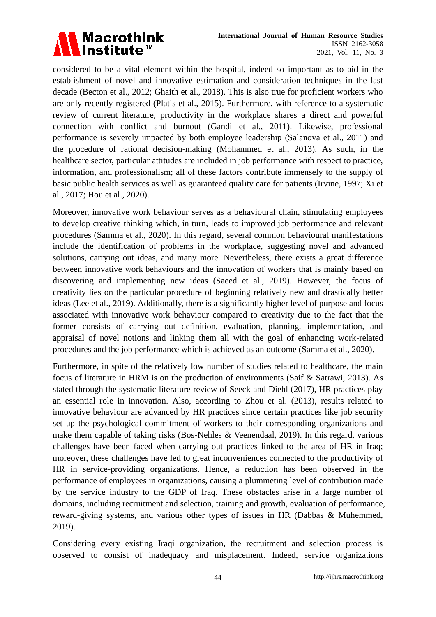

considered to be a vital element within the hospital, indeed so important as to aid in the establishment of novel and innovative estimation and consideration techniques in the last decade (Becton et al., 2012; Ghaith et al., 2018). This is also true for proficient workers who are only recently registered (Platis et al., 2015). Furthermore, with reference to a systematic review of current literature, productivity in the workplace shares a direct and powerful connection with conflict and burnout (Gandi et al., 2011). Likewise, professional performance is severely impacted by both employee leadership (Salanova et al., 2011) and the procedure of rational decision-making (Mohammed et al., 2013). As such, in the healthcare sector, particular attitudes are included in job performance with respect to practice, information, and professionalism; all of these factors contribute immensely to the supply of basic public health services as well as guaranteed quality care for patients (Irvine, 1997; Xi et al., 2017; Hou et al., 2020).

Moreover, innovative work behaviour serves as a behavioural chain, stimulating employees to develop creative thinking which, in turn, leads to improved job performance and relevant procedures (Samma et al., 2020). In this regard, several common behavioural manifestations include the identification of problems in the workplace, suggesting novel and advanced solutions, carrying out ideas, and many more. Nevertheless, there exists a great difference between innovative work behaviours and the innovation of workers that is mainly based on discovering and implementing new ideas (Saeed et al., 2019). However, the focus of creativity lies on the particular procedure of beginning relatively new and drastically better ideas (Lee et al., 2019). Additionally, there is a significantly higher level of purpose and focus associated with innovative work behaviour compared to creativity due to the fact that the former consists of carrying out definition, evaluation, planning, implementation, and appraisal of novel notions and linking them all with the goal of enhancing work-related procedures and the job performance which is achieved as an outcome (Samma et al., 2020).

Furthermore, in spite of the relatively low number of studies related to healthcare, the main focus of literature in HRM is on the production of environments (Saif & Satrawi, 2013). As stated through the systematic literature review of Seeck and Diehl (2017), HR practices play an essential role in innovation. Also, according to Zhou et al. (2013), results related to innovative behaviour are advanced by HR practices since certain practices like job security set up the psychological commitment of workers to their corresponding organizations and make them capable of taking risks (Bos-Nehles & Veenendaal, 2019). In this regard, various challenges have been faced when carrying out practices linked to the area of HR in Iraq; moreover, these challenges have led to great inconveniences connected to the productivity of HR in service-providing organizations. Hence, a reduction has been observed in the performance of employees in organizations, causing a plummeting level of contribution made by the service industry to the GDP of Iraq. These obstacles arise in a large number of domains, including recruitment and selection, training and growth, evaluation of performance, reward-giving systems, and various other types of issues in HR (Dabbas & Muhemmed, 2019).

Considering every existing Iraqi organization, the recruitment and selection process is observed to consist of inadequacy and misplacement. Indeed, service organizations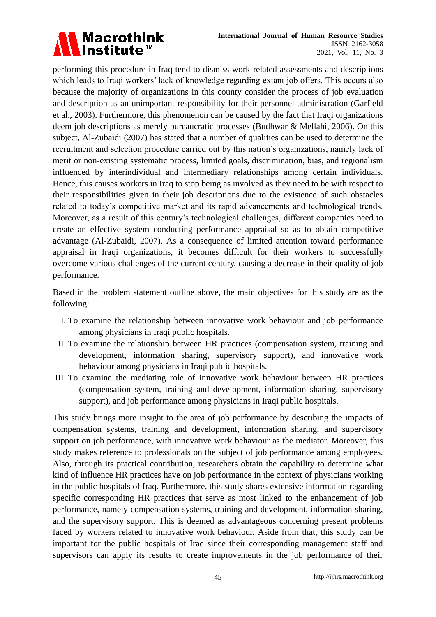

performing this procedure in Iraq tend to dismiss work-related assessments and descriptions which leads to Iraqi workers' lack of knowledge regarding extant job offers. This occurs also because the majority of organizations in this county consider the process of job evaluation and description as an unimportant responsibility for their personnel administration (Garfield et al., 2003). Furthermore, this phenomenon can be caused by the fact that Iraqi organizations deem job descriptions as merely bureaucratic processes (Budhwar & Mellahi, 2006). On this subject, Al-Zubaidi (2007) has stated that a number of qualities can be used to determine the recruitment and selection procedure carried out by this nation's organizations, namely lack of merit or non-existing systematic process, limited goals, discrimination, bias, and regionalism influenced by interindividual and intermediary relationships among certain individuals. Hence, this causes workers in Iraq to stop being as involved as they need to be with respect to their responsibilities given in their job descriptions due to the existence of such obstacles related to today's competitive market and its rapid advancements and technological trends. Moreover, as a result of this century's technological challenges, different companies need to create an effective system conducting performance appraisal so as to obtain competitive advantage (Al-Zubaidi, 2007). As a consequence of limited attention toward performance appraisal in Iraqi organizations, it becomes difficult for their workers to successfully overcome various challenges of the current century, causing a decrease in their quality of job performance.

Based in the problem statement outline above, the main objectives for this study are as the following:

- I. To examine the relationship between innovative work behaviour and job performance among physicians in Iraqi public hospitals.
- II. To examine the relationship between HR practices (compensation system, training and development, information sharing, supervisory support), and innovative work behaviour among physicians in Iraqi public hospitals.
- III. To examine the mediating role of innovative work behaviour between HR practices (compensation system, training and development, information sharing, supervisory support), and job performance among physicians in Iraqi public hospitals.

This study brings more insight to the area of job performance by describing the impacts of compensation systems, training and development, information sharing, and supervisory support on job performance, with innovative work behaviour as the mediator. Moreover, this study makes reference to professionals on the subject of job performance among employees. Also, through its practical contribution, researchers obtain the capability to determine what kind of influence HR practices have on job performance in the context of physicians working in the public hospitals of Iraq. Furthermore, this study shares extensive information regarding specific corresponding HR practices that serve as most linked to the enhancement of job performance, namely compensation systems, training and development, information sharing, and the supervisory support. This is deemed as advantageous concerning present problems faced by workers related to innovative work behaviour. Aside from that, this study can be important for the public hospitals of Iraq since their corresponding management staff and supervisors can apply its results to create improvements in the job performance of their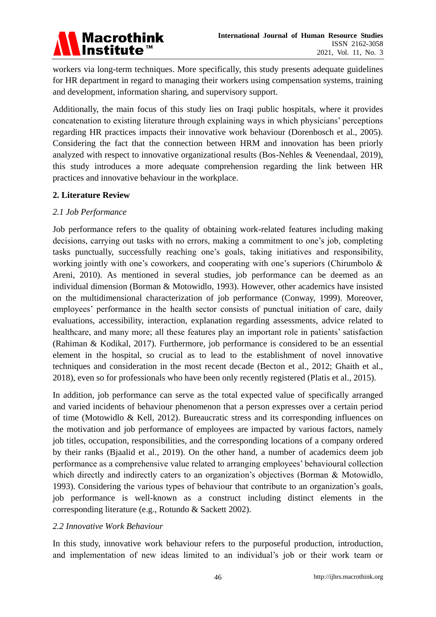

workers via long-term techniques. More specifically, this study presents adequate guidelines for HR department in regard to managing their workers using compensation systems, training and development, information sharing, and supervisory support.

Additionally, the main focus of this study lies on Iraqi public hospitals, where it provides concatenation to existing literature through explaining ways in which physicians' perceptions regarding HR practices impacts their innovative work behaviour (Dorenbosch et al., 2005). Considering the fact that the connection between HRM and innovation has been priorly analyzed with respect to innovative organizational results (Bos-Nehles & Veenendaal, 2019), this study introduces a more adequate comprehension regarding the link between HR practices and innovative behaviour in the workplace.

#### **2. Literature Review**

#### *2.1 Job Performance*

Job performance refers to the quality of obtaining work-related features including making decisions, carrying out tasks with no errors, making a commitment to one's job, completing tasks punctually, successfully reaching one's goals, taking initiatives and responsibility, working jointly with one's coworkers, and cooperating with one's superiors (Chirumbolo & Areni, 2010). As mentioned in several studies, job performance can be deemed as an individual dimension (Borman & Motowidlo, 1993). However, other academics have insisted on the multidimensional characterization of job performance (Conway, 1999). Moreover, employees' performance in the health sector consists of punctual initiation of care, daily evaluations, accessibility, interaction, explanation regarding assessments, advice related to healthcare, and many more; all these features play an important role in patients' satisfaction (Rahiman & Kodikal, 2017). Furthermore, job performance is considered to be an essential element in the hospital, so crucial as to lead to the establishment of novel innovative techniques and consideration in the most recent decade (Becton et al., 2012; Ghaith et al., 2018), even so for professionals who have been only recently registered (Platis et al., 2015).

In addition, job performance can serve as the total expected value of specifically arranged and varied incidents of behaviour phenomenon that a person expresses over a certain period of time (Motowidlo & Kell, 2012). Bureaucratic stress and its corresponding influences on the motivation and job performance of employees are impacted by various factors, namely job titles, occupation, responsibilities, and the corresponding locations of a company ordered by their ranks (Bjaalid et al., 2019). On the other hand, a number of academics deem job performance as a comprehensive value related to arranging employees' behavioural collection which directly and indirectly caters to an organization's objectives (Borman & Motowidlo, 1993). Considering the various types of behaviour that contribute to an organization's goals, job performance is well-known as a construct including distinct elements in the corresponding literature (e.g., Rotundo & Sackett 2002).

#### *2.2 Innovative Work Behaviour*

In this study, innovative work behaviour refers to the purposeful production, introduction, and implementation of new ideas limited to an individual's job or their work team or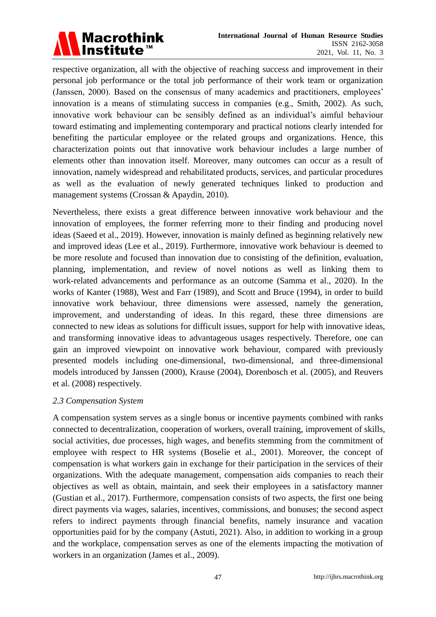

respective organization, all with the objective of reaching success and improvement in their personal job performance or the total job performance of their work team or organization (Janssen, 2000). Based on the consensus of many academics and practitioners, employees' innovation is a means of stimulating success in companies (e.g., Smith, 2002). As such, innovative work behaviour can be sensibly defined as an individual's aimful behaviour toward estimating and implementing contemporary and practical notions clearly intended for benefiting the particular employee or the related groups and organizations. Hence, this characterization points out that innovative work behaviour includes a large number of elements other than innovation itself. Moreover, many outcomes can occur as a result of innovation, namely widespread and rehabilitated products, services, and particular procedures as well as the evaluation of newly generated techniques linked to production and management systems (Crossan & Apaydin, 2010).

Nevertheless, there exists a great difference between innovative work behaviour and the innovation of employees, the former referring more to their finding and producing novel ideas (Saeed et al., 2019). However, innovation is mainly defined as beginning relatively new and improved ideas (Lee et al., 2019). Furthermore, innovative work behaviour is deemed to be more resolute and focused than innovation due to consisting of the definition, evaluation, planning, implementation, and review of novel notions as well as linking them to work-related advancements and performance as an outcome (Samma et al., 2020). In the works of Kanter (1988), West and Farr (1989), and Scott and Bruce (1994), in order to build innovative work behaviour, three dimensions were assessed, namely the generation, improvement, and understanding of ideas. In this regard, these three dimensions are connected to new ideas as solutions for difficult issues, support for help with innovative ideas, and transforming innovative ideas to advantageous usages respectively. Therefore, one can gain an improved viewpoint on innovative work behaviour, compared with previously presented models including one-dimensional, two-dimensional, and three-dimensional models introduced by Janssen (2000), Krause (2004), Dorenbosch et al. (2005), and Reuvers et al. (2008) respectively.

#### *2.3 Compensation System*

A compensation system serves as a single bonus or incentive payments combined with ranks connected to decentralization, cooperation of workers, overall training, improvement of skills, social activities, due processes, high wages, and benefits stemming from the commitment of employee with respect to HR systems (Boselie et al., 2001). Moreover, the concept of compensation is what workers gain in exchange for their participation in the services of their organizations. With the adequate management, compensation aids companies to reach their objectives as well as obtain, maintain, and seek their employees in a satisfactory manner (Gustian et al., 2017). Furthermore, compensation consists of two aspects, the first one being direct payments via wages, salaries, incentives, commissions, and bonuses; the second aspect refers to indirect payments through financial benefits, namely insurance and vacation opportunities paid for by the company (Astuti, 2021). Also, in addition to working in a group and the workplace, compensation serves as one of the elements impacting the motivation of workers in an organization (James et al., 2009).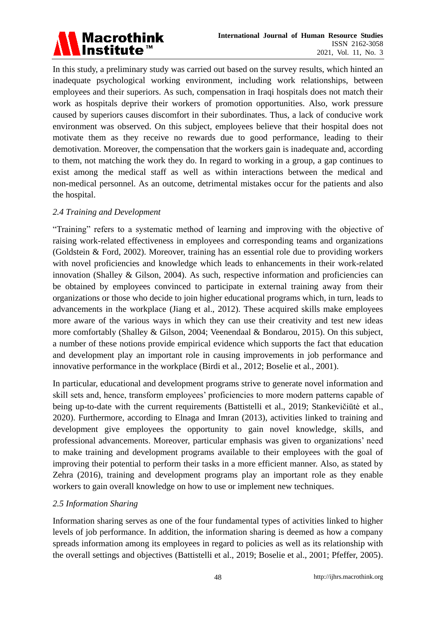# Macrothink<br>Institute™

In this study, a preliminary study was carried out based on the survey results, which hinted an inadequate psychological working environment, including work relationships, between employees and their superiors. As such, compensation in Iraqi hospitals does not match their work as hospitals deprive their workers of promotion opportunities. Also, work pressure caused by superiors causes discomfort in their subordinates. Thus, a lack of conducive work environment was observed. On this subject, employees believe that their hospital does not motivate them as they receive no rewards due to good performance, leading to their demotivation. Moreover, the compensation that the workers gain is inadequate and, according to them, not matching the work they do. In regard to working in a group, a gap continues to exist among the medical staff as well as within interactions between the medical and non-medical personnel. As an outcome, detrimental mistakes occur for the patients and also the hospital.

# *2.4 Training and Development*

"Training" refers to a systematic method of learning and improving with the objective of raising work-related effectiveness in employees and corresponding teams and organizations (Goldstein & Ford, 2002). Moreover, training has an essential role due to providing workers with novel proficiencies and knowledge which leads to enhancements in their work-related innovation (Shalley & Gilson, 2004). As such, respective information and proficiencies can be obtained by employees convinced to participate in external training away from their organizations or those who decide to join higher educational programs which, in turn, leads to advancements in the workplace (Jiang et al., 2012). These acquired skills make employees more aware of the various ways in which they can use their creativity and test new ideas more comfortably (Shalley & Gilson, 2004; Veenendaal & Bondarou, 2015). On this subject, a number of these notions provide empirical evidence which supports the fact that education and development play an important role in causing improvements in job performance and innovative performance in the workplace (Birdi et al., 2012; Boselie et al., 2001).

In particular, educational and development programs strive to generate novel information and skill sets and, hence, transform employees' proficiencies to more modern patterns capable of being up-to-date with the current requirements (Battistelli et al., 2019; Stankevičiūtė et al., 2020). Furthermore, according to Elnaga and Imran (2013), activities linked to training and development give employees the opportunity to gain novel knowledge, skills, and professional advancements. Moreover, particular emphasis was given to organizations' need to make training and development programs available to their employees with the goal of improving their potential to perform their tasks in a more efficient manner. Also, as stated by Zehra (2016), training and development programs play an important role as they enable workers to gain overall knowledge on how to use or implement new techniques.

#### *2.5 Information Sharing*

Information sharing serves as one of the four fundamental types of activities linked to higher levels of job performance. In addition, the information sharing is deemed as how a company spreads information among its employees in regard to policies as well as its relationship with the overall settings and objectives (Battistelli et al., 2019; Boselie et al., 2001; Pfeffer, 2005).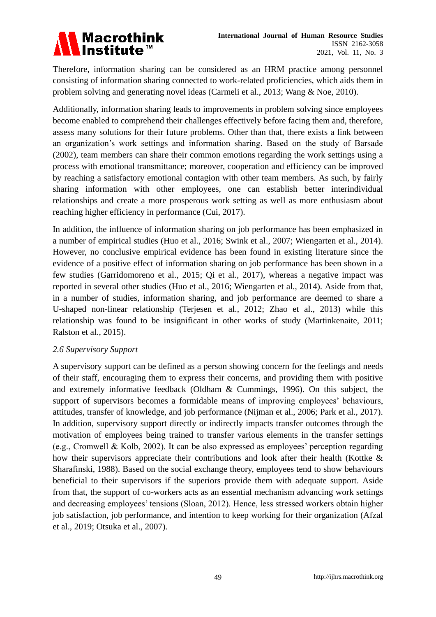

Therefore, information sharing can be considered as an HRM practice among personnel consisting of information sharing connected to work-related proficiencies, which aids them in problem solving and generating novel ideas (Carmeli et al., 2013; Wang & Noe, 2010).

Additionally, information sharing leads to improvements in problem solving since employees become enabled to comprehend their challenges effectively before facing them and, therefore, assess many solutions for their future problems. Other than that, there exists a link between an organization's work settings and information sharing. Based on the study of Barsade (2002), team members can share their common emotions regarding the work settings using a process with emotional transmittance; moreover, cooperation and efficiency can be improved by reaching a satisfactory emotional contagion with other team members. As such, by fairly sharing information with other employees, one can establish better interindividual relationships and create a more prosperous work setting as well as more enthusiasm about reaching higher efficiency in performance (Cui, 2017).

In addition, the influence of information sharing on job performance has been emphasized in a number of empirical studies (Huo et al., 2016; Swink et al., 2007; Wiengarten et al., 2014). However, no conclusive empirical evidence has been found in existing literature since the evidence of a positive effect of information sharing on job performance has been shown in a few studies (Garridomoreno et al., 2015; Qi et al., 2017), whereas a negative impact was reported in several other studies (Huo et al., 2016; Wiengarten et al., 2014). Aside from that, in a number of studies, information sharing, and job performance are deemed to share a U-shaped non-linear relationship (Terjesen et al., 2012; Zhao et al., 2013) while this relationship was found to be insignificant in other works of study (Martinkenaite, 2011; Ralston et al., 2015).

#### *2.6 Supervisory Support*

A supervisory support can be defined as a person showing concern for the feelings and needs of their staff, encouraging them to express their concerns, and providing them with positive and extremely informative feedback (Oldham & Cummings, 1996). On this subject, the support of supervisors becomes a formidable means of improving employees' behaviours, attitudes, transfer of knowledge, and job performance (Nijman et al., 2006; Park et al., 2017). In addition, supervisory support directly or indirectly impacts transfer outcomes through the motivation of employees being trained to transfer various elements in the transfer settings (e.g., Cromwell & Kolb, 2002). It can be also expressed as employees' perception regarding how their supervisors appreciate their contributions and look after their health (Kottke & Sharafinski, 1988). Based on the social exchange theory, employees tend to show behaviours beneficial to their supervisors if the superiors provide them with adequate support. Aside from that, the support of co-workers acts as an essential mechanism advancing work settings and decreasing employees' tensions (Sloan, 2012). Hence, less stressed workers obtain higher job satisfaction, job performance, and intention to keep working for their organization (Afzal et al., 2019; Otsuka et al., 2007).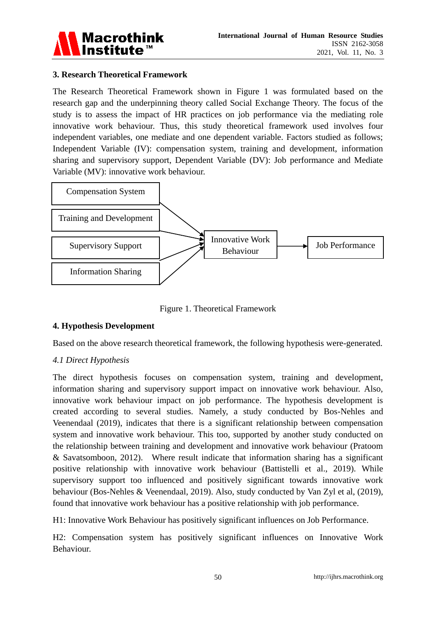

#### **3. Research Theoretical Framework**

The Research Theoretical Framework shown in Figure 1 was formulated based on the research gap and the underpinning theory called Social Exchange Theory. The focus of the study is to assess the impact of HR practices on job performance via the mediating role innovative work behaviour. Thus, this study theoretical framework used involves four independent variables, one mediate and one dependent variable. Factors studied as follows; Independent Variable (IV): compensation system, training and development, information sharing and supervisory support, Dependent Variable (DV): Job performance and Mediate Variable (MV): innovative work behaviour.



Figure 1. Theoretical Framework

# **4. Hypothesis Development**

Based on the above research theoretical framework, the following hypothesis were-generated.

# *4.1 Direct Hypothesis*

The direct hypothesis focuses on compensation system, training and development, information sharing and supervisory support impact on innovative work behaviour. Also, innovative work behaviour impact on job performance. The hypothesis development is created according to several studies. Namely, a study conducted by Bos-Nehles and Veenendaal (2019), indicates that there is a significant relationship between compensation system and innovative work behaviour. This too, supported by another study conducted on the relationship between training and development and innovative work behaviour (Pratoom & Savatsomboon, 2012). Where result indicate that information sharing has a significant positive relationship with innovative work behaviour (Battistelli et al., 2019). While supervisory support too influenced and positively significant towards innovative work behaviour (Bos-Nehles & Veenendaal, 2019). Also, study conducted by Van Zyl et al, (2019), found that innovative work behaviour has a positive relationship with job performance.

H1: Innovative Work Behaviour has positively significant influences on Job Performance.

H2: Compensation system has positively significant influences on Innovative Work Behaviour.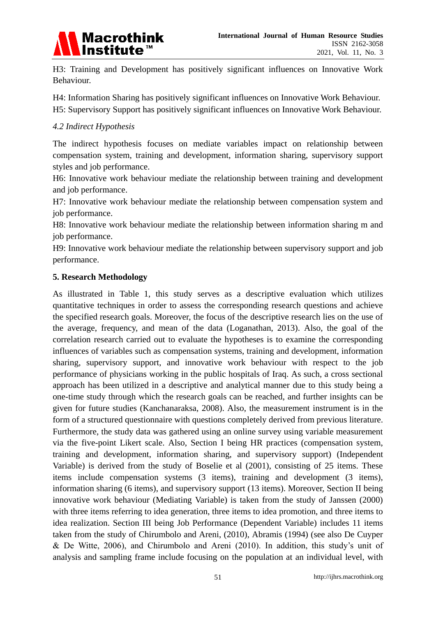

H3: Training and Development has positively significant influences on Innovative Work Behaviour.

H4: Information Sharing has positively significant influences on Innovative Work Behaviour. H5: Supervisory Support has positively significant influences on Innovative Work Behaviour.

#### *4.2 Indirect Hypothesis*

The indirect hypothesis focuses on mediate variables impact on relationship between compensation system, training and development, information sharing, supervisory support styles and job performance.

H6: Innovative work behaviour mediate the relationship between training and development and job performance.

H7: Innovative work behaviour mediate the relationship between compensation system and job performance.

H8: Innovative work behaviour mediate the relationship between information sharing m and job performance.

H9: Innovative work behaviour mediate the relationship between supervisory support and job performance.

#### **5. Research Methodology**

As illustrated in Table 1, this study serves as a descriptive evaluation which utilizes quantitative techniques in order to assess the corresponding research questions and achieve the specified research goals. Moreover, the focus of the descriptive research lies on the use of the average, frequency, and mean of the data (Loganathan, 2013). Also, the goal of the correlation research carried out to evaluate the hypotheses is to examine the corresponding influences of variables such as compensation systems, training and development, information sharing, supervisory support, and innovative work behaviour with respect to the job performance of physicians working in the public hospitals of Iraq. As such, a cross sectional approach has been utilized in a descriptive and analytical manner due to this study being a one-time study through which the research goals can be reached, and further insights can be given for future studies (Kanchanaraksa, 2008). Also, the measurement instrument is in the form of a structured questionnaire with questions completely derived from previous literature. Furthermore, the study data was gathered using an online survey using variable measurement via the five-point Likert scale. Also, Section I being HR practices (compensation system, training and development, information sharing, and supervisory support) (Independent Variable) is derived from the study of Boselie et al (2001), consisting of 25 items. These items include compensation systems (3 items), training and development (3 items), information sharing (6 items), and supervisory support (13 items). Moreover, Section II being innovative work behaviour (Mediating Variable) is taken from the study of Janssen (2000) with three items referring to idea generation, three items to idea promotion, and three items to idea realization. Section III being Job Performance (Dependent Variable) includes 11 items taken from the study of Chirumbolo and Areni, (2010), Abramis (1994) (see also De Cuyper & De Witte, 2006), and Chirumbolo and Areni (2010). In addition, this study's unit of analysis and sampling frame include focusing on the population at an individual level, with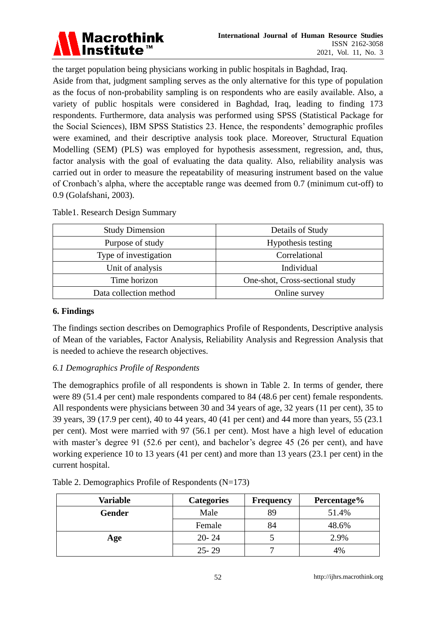

the target population being physicians working in public hospitals in Baghdad, Iraq. Aside from that, judgment sampling serves as the only alternative for this type of population as the focus of non-probability sampling is on respondents who are easily available. Also, a variety of public hospitals were considered in Baghdad, Iraq, leading to finding 173 respondents. Furthermore, data analysis was performed using SPSS (Statistical Package for the Social Sciences), IBM SPSS Statistics 23. Hence, the respondents' demographic profiles were examined, and their descriptive analysis took place. Moreover, Structural Equation Modelling (SEM) (PLS) was employed for hypothesis assessment, regression, and, thus, factor analysis with the goal of evaluating the data quality. Also, reliability analysis was carried out in order to measure the repeatability of measuring instrument based on the value of Cronbach's alpha, where the acceptable range was deemed from 0.7 (minimum cut-off) to 0.9 (Golafshani, 2003).

| <b>Study Dimension</b> | Details of Study                |
|------------------------|---------------------------------|
| Purpose of study       | Hypothesis testing              |
| Type of investigation  | Correlational                   |
| Unit of analysis       | Individual                      |
| Time horizon           | One-shot, Cross-sectional study |
| Data collection method | Online survey                   |

Table1. Research Design Summary

#### **6. Findings**

The findings section describes on Demographics Profile of Respondents, Descriptive analysis of Mean of the variables, Factor Analysis, Reliability Analysis and Regression Analysis that is needed to achieve the research objectives.

# *6.1 Demographics Profile of Respondents*

The demographics profile of all respondents is shown in Table 2. In terms of gender, there were 89 (51.4 per cent) male respondents compared to 84 (48.6 per cent) female respondents. All respondents were physicians between 30 and 34 years of age, 32 years (11 per cent), 35 to 39 years, 39 (17.9 per cent), 40 to 44 years, 40 (41 per cent) and 44 more than years, 55 (23.1 per cent). Most were married with 97 (56.1 per cent). Most have a high level of education with master's degree 91 (52.6 per cent), and bachelor's degree 45 (26 per cent), and have working experience 10 to 13 years (41 per cent) and more than 13 years (23.1 per cent) in the current hospital.

| <b>Variable</b> | <b>Categories</b> | <b>Frequency</b> | Percentage% |
|-----------------|-------------------|------------------|-------------|
| Gender          | Male              | 89               | 51.4%       |
|                 | Female            | 84               | 48.6%       |
| Age             | $20 - 24$         |                  | 2.9%        |
|                 | $25 - 29$         |                  | 4%          |

# Table 2. Demographics Profile of Respondents (N=173)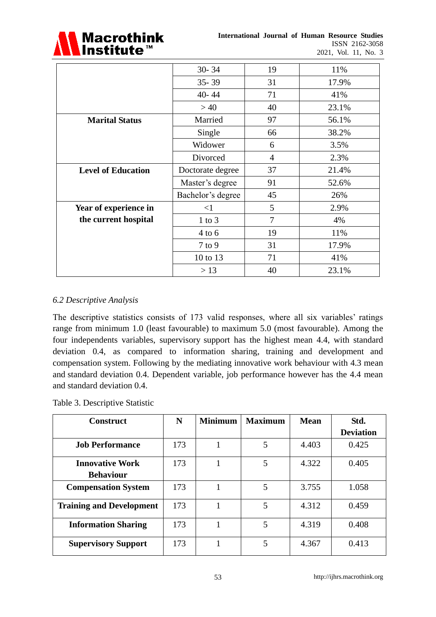

|                           | $30 - 34$         | 19             | 11%   |
|---------------------------|-------------------|----------------|-------|
|                           | $35 - 39$         | 31             | 17.9% |
|                           | $40 - 44$         | 71             | 41%   |
|                           | >40               | 40             | 23.1% |
| <b>Marital Status</b>     | Married           | 97             | 56.1% |
|                           | Single            | 66             | 38.2% |
|                           | Widower           | 6              | 3.5%  |
|                           | Divorced          | $\overline{4}$ | 2.3%  |
| <b>Level of Education</b> | Doctorate degree  | 37             | 21.4% |
|                           | Master's degree   | 91             | 52.6% |
|                           | Bachelor's degree | 45             | 26%   |
| Year of experience in     | $\leq$ 1          | 5              | 2.9%  |
| the current hospital      | $1$ to $3$        | 7              | 4%    |
|                           | $4$ to $6$        | 19             | 11%   |
|                           | $7$ to $9$        | 31             | 17.9% |
|                           | 10 to 13          | 71             | 41%   |
|                           | > 13              | 40             | 23.1% |

# *6.2 Descriptive Analysis*

The descriptive statistics consists of 173 valid responses, where all six variables' ratings range from minimum 1.0 (least favourable) to maximum 5.0 (most favourable). Among the four independents variables, supervisory support has the highest mean 4.4, with standard deviation 0.4, as compared to information sharing, training and development and compensation system. Following by the mediating innovative work behaviour with 4.3 mean and standard deviation 0.4. Dependent variable, job performance however has the 4.4 mean and standard deviation 0.4.

#### Table 3. Descriptive Statistic

| <b>Construct</b>                | N   | <b>Minimum</b> | <b>Maximum</b> |       | Std.             |  |
|---------------------------------|-----|----------------|----------------|-------|------------------|--|
|                                 |     |                |                |       | <b>Deviation</b> |  |
| <b>Job Performance</b>          | 173 |                | 5              | 4.403 | 0.425            |  |
| <b>Innovative Work</b>          | 173 |                | 5              | 4.322 | 0.405            |  |
| <b>Behaviour</b>                |     |                |                |       |                  |  |
| <b>Compensation System</b>      | 173 |                | 5              | 3.755 | 1.058            |  |
| <b>Training and Development</b> | 173 |                | 5              | 4.312 | 0.459            |  |
| <b>Information Sharing</b>      | 173 |                | 5              | 4.319 | 0.408            |  |
| <b>Supervisory Support</b>      | 173 |                | 5              | 4.367 | 0.413            |  |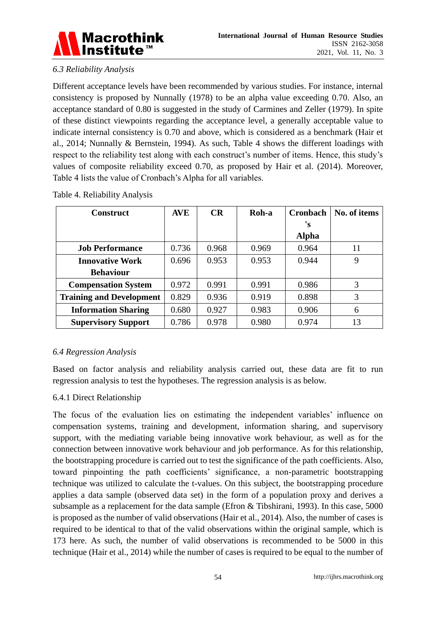

# *6.3 Reliability Analysis*

Different acceptance levels have been recommended by various studies. For instance, internal consistency is proposed by Nunnally (1978) to be an alpha value exceeding 0.70. Also, an acceptance standard of 0.80 is suggested in the study of Carmines and Zeller (1979). In spite of these distinct viewpoints regarding the acceptance level, a generally acceptable value to indicate internal consistency is 0.70 and above, which is considered as a benchmark (Hair et al., 2014; Nunnally & Bernstein, 1994). As such, Table 4 shows the different loadings with respect to the reliability test along with each construct's number of items. Hence, this study's values of composite reliability exceed 0.70, as proposed by Hair et al. (2014). Moreover, Table 4 lists the value of Cronbach's Alpha for all variables.

| <b>Construct</b>                | <b>AVE</b> | CR    | Roh-a | <b>Cronbach</b> | No. of items |
|---------------------------------|------------|-------|-------|-----------------|--------------|
|                                 |            |       |       | 's              |              |
|                                 |            |       |       | <b>Alpha</b>    |              |
| <b>Job Performance</b>          | 0.736      | 0.968 | 0.969 | 0.964           | 11           |
| <b>Innovative Work</b>          | 0.696      | 0.953 | 0.953 | 0.944           | 9            |
| <b>Behaviour</b>                |            |       |       |                 |              |
| <b>Compensation System</b>      | 0.972      | 0.991 | 0.991 | 0.986           | 3            |
| <b>Training and Development</b> | 0.829      | 0.936 | 0.919 | 0.898           | 3            |
| <b>Information Sharing</b>      | 0.680      | 0.927 | 0.983 | 0.906           | 6            |
| <b>Supervisory Support</b>      | 0.786      | 0.978 | 0.980 | 0.974           | 13           |

Table 4. Reliability Analysis

# *6.4 Regression Analysis*

Based on factor analysis and reliability analysis carried out, these data are fit to run regression analysis to test the hypotheses. The regression analysis is as below.

# 6.4.1 Direct Relationship

The focus of the evaluation lies on estimating the independent variables' influence on compensation systems, training and development, information sharing, and supervisory support, with the mediating variable being innovative work behaviour, as well as for the connection between innovative work behaviour and job performance. As for this relationship, the bootstrapping procedure is carried out to test the significance of the path coefficients. Also, toward pinpointing the path coefficients' significance, a non-parametric bootstrapping technique was utilized to calculate the t-values. On this subject, the bootstrapping procedure applies a data sample (observed data set) in the form of a population proxy and derives a subsample as a replacement for the data sample (Efron & Tibshirani, 1993). In this case, 5000 is proposed as the number of valid observations (Hair et al., 2014). Also, the number of cases is required to be identical to that of the valid observations within the original sample, which is 173 here. As such, the number of valid observations is recommended to be 5000 in this technique (Hair et al., 2014) while the number of cases is required to be equal to the number of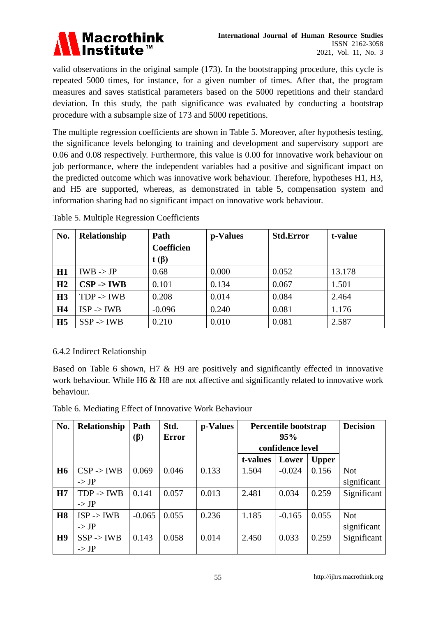

valid observations in the original sample (173). In the bootstrapping procedure, this cycle is repeated 5000 times, for instance, for a given number of times. After that, the program measures and saves statistical parameters based on the 5000 repetitions and their standard deviation. In this study, the path significance was evaluated by conducting a bootstrap procedure with a subsample size of 173 and 5000 repetitions.

The multiple regression coefficients are shown in Table 5. Moreover, after hypothesis testing, the significance levels belonging to training and development and supervisory support are 0.06 and 0.08 respectively. Furthermore, this value is 0.00 for innovative work behaviour on job performance, where the independent variables had a positive and significant impact on the predicted outcome which was innovative work behaviour. Therefore, hypotheses H1, H3, and H5 are supported, whereas, as demonstrated in table 5, compensation system and information sharing had no significant impact on innovative work behaviour.

| No.            | <b>Relationship</b>   | Path              | p-Values | <b>Std.Error</b> | t-value |
|----------------|-----------------------|-------------------|----------|------------------|---------|
|                |                       | <b>Coefficien</b> |          |                  |         |
|                |                       | $t(\beta)$        |          |                  |         |
| H1             | $IWB \rightarrow JP$  | 0.68              | 0.000    | 0.052            | 13.178  |
| H2             | $CSP \rightarrow IWB$ | 0.101             | 0.134    | 0.067            | 1.501   |
| H3             | $TDP \rightarrow IWB$ | 0.208             | 0.014    | 0.084            | 2.464   |
| H <sub>4</sub> | $ISP$ -> IWB          | $-0.096$          | 0.240    | 0.081            | 1.176   |
| H <sub>5</sub> | $SSP \rightarrow IWB$ | 0.210             | 0.010    | 0.081            | 2.587   |

Table 5. Multiple Regression Coefficients

# 6.4.2 Indirect Relationship

Based on Table 6 shown, H7 & H9 are positively and significantly effected in innovative work behaviour. While H6 & H8 are not affective and significantly related to innovative work behaviour.

|  |  |  | Table 6. Mediating Effect of Innovative Work Behaviour |
|--|--|--|--------------------------------------------------------|
|  |  |  |                                                        |

| No.       | Relationship          | Path<br>$(\beta)$ | Std.<br><b>Error</b> | p-Values | Percentile bootstrap<br>95% |          |              | <b>Decision</b> |
|-----------|-----------------------|-------------------|----------------------|----------|-----------------------------|----------|--------------|-----------------|
|           |                       |                   |                      |          | confidence level            |          |              |                 |
|           |                       |                   |                      |          | t-values                    | Lower    | <b>Upper</b> |                 |
| <b>H6</b> | $CSP \rightarrow IWB$ | 0.069             | 0.046                | 0.133    | 1.504                       | $-0.024$ | 0.156        | <b>Not</b>      |
|           | $\rightarrow$ JP      |                   |                      |          |                             |          |              | significant     |
| H7        | $TDP \rightarrow IWB$ | 0.141             | 0.057                | 0.013    | 2.481                       | 0.034    | 0.259        | Significant     |
|           | $\rightarrow$ JP      |                   |                      |          |                             |          |              |                 |
| <b>H8</b> | $ISP$ -> IWB          | $-0.065$          | 0.055                | 0.236    | 1.185                       | $-0.165$ | 0.055        | <b>Not</b>      |
|           | $\Rightarrow$ JP      |                   |                      |          |                             |          |              | significant     |
| H9        | $SSP \rightarrow IWB$ | 0.143             | 0.058                | 0.014    | 2.450                       | 0.033    | 0.259        | Significant     |
|           | $\rightarrow$ JP      |                   |                      |          |                             |          |              |                 |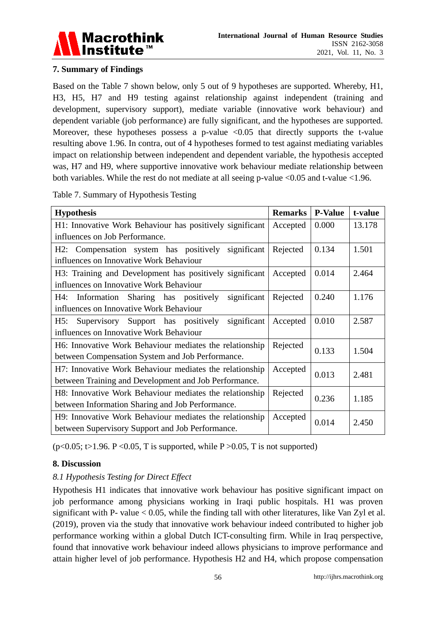

# **7. Summary of Findings**

Based on the Table 7 shown below, only 5 out of 9 hypotheses are supported. Whereby, H1, H3, H5, H7 and H9 testing against relationship against independent (training and development, supervisory support), mediate variable (innovative work behaviour) and dependent variable (job performance) are fully significant, and the hypotheses are supported. Moreover, these hypotheses possess a p-value  $\langle 0.05 \rangle$  that directly supports the t-value resulting above 1.96. In contra, out of 4 hypotheses formed to test against mediating variables impact on relationship between independent and dependent variable, the hypothesis accepted was, H7 and H9, where supportive innovative work behaviour mediate relationship between both variables. While the rest do not mediate at all seeing p-value  $\langle 0.05 \rangle$  and t-value  $\langle 1.96 \rangle$ .

Table 7. Summary of Hypothesis Testing

|                                                          | <b>Remarks</b> | <b>P-Value</b> | t-value |
|----------------------------------------------------------|----------------|----------------|---------|
| <b>Hypothesis</b>                                        |                |                |         |
| H1: Innovative Work Behaviour has positively significant | Accepted       | 0.000          | 13.178  |
| influences on Job Performance.                           |                |                |         |
| Compensation system has positively<br>significant<br>H2: | Rejected       | 0.134          | 1.501   |
| influences on Innovative Work Behaviour                  |                |                |         |
| H3: Training and Development has positively significant  | Accepted       | 0.014          | 2.464   |
| influences on Innovative Work Behaviour                  |                |                |         |
| Information Sharing has positively<br>significant<br>H4: | Rejected       | 0.240          | 1.176   |
| influences on Innovative Work Behaviour                  |                |                |         |
| Supervisory Support has positively<br>significant<br>H5: | Accepted       | 0.010          | 2.587   |
| influences on Innovative Work Behaviour                  |                |                |         |
| H6: Innovative Work Behaviour mediates the relationship  | Rejected       | 0.133          | 1.504   |
| between Compensation System and Job Performance.         |                |                |         |
| H7: Innovative Work Behaviour mediates the relationship  | Accepted       | 0.013          | 2.481   |
| between Training and Development and Job Performance.    |                |                |         |
| H8: Innovative Work Behaviour mediates the relationship  | Rejected       | 0.236          |         |
| between Information Sharing and Job Performance.         |                |                | 1.185   |
| H9: Innovative Work Behaviour mediates the relationship  | Accepted       |                |         |
| between Supervisory Support and Job Performance.         |                | 0.014          | 2.450   |

 $(p<0.05; t>1.96$ . P < 0.05, T is supported, while P > 0.05, T is not supported)

# **8. Discussion**

# *8.1 Hypothesis Testing for Direct Effect*

Hypothesis H1 indicates that innovative work behaviour has positive significant impact on job performance among physicians working in Iraqi public hospitals. H1 was proven significant with P- value  $< 0.05$ , while the finding tall with other literatures, like Van Zyl et al. (2019), proven via the study that innovative work behaviour indeed contributed to higher job performance working within a global Dutch ICT-consulting firm. While in Iraq perspective, found that innovative work behaviour indeed allows physicians to improve performance and attain higher level of job performance. Hypothesis H2 and H4, which propose compensation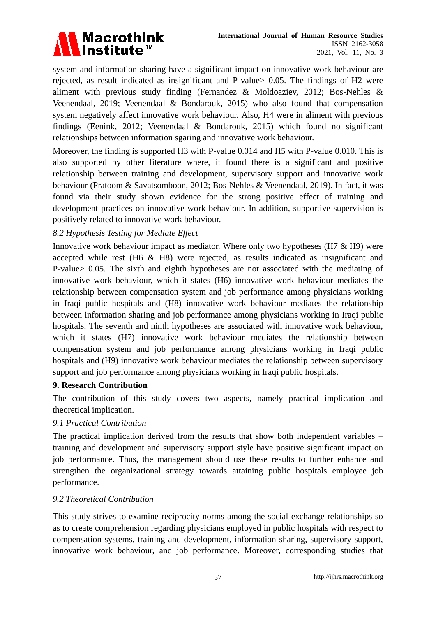

system and information sharing have a significant impact on innovative work behaviour are rejected, as result indicated as insignificant and P-value> 0.05. The findings of H2 were aliment with previous study finding (Fernandez & Moldoaziev, 2012; Bos-Nehles & Veenendaal, 2019; Veenendaal & Bondarouk, 2015) who also found that compensation system negatively affect innovative work behaviour. Also, H4 were in aliment with previous findings (Eenink, 2012; Veenendaal & Bondarouk, 2015) which found no significant relationships between information sgaring and innovative work behaviour.

Moreover, the finding is supported H3 with P-value 0.014 and H5 with P-value 0.010. This is also supported by other literature where, it found there is a significant and positive relationship between training and development, supervisory support and innovative work behaviour (Pratoom & Savatsomboon, 2012; Bos-Nehles & Veenendaal, 2019). In fact, it was found via their study shown evidence for the strong positive effect of training and development practices on innovative work behaviour. In addition, supportive supervision is positively related to innovative work behaviour.

*8.2 Hypothesis Testing for Mediate Effect*

Innovative work behaviour impact as mediator. Where only two hypotheses (H7 & H9) were accepted while rest (H6 & H8) were rejected, as results indicated as insignificant and P-value> 0.05. The sixth and eighth hypotheses are not associated with the mediating of innovative work behaviour, which it states (H6) innovative work behaviour mediates the relationship between compensation system and job performance among physicians working in Iraqi public hospitals and (H8) innovative work behaviour mediates the relationship between information sharing and job performance among physicians working in Iraqi public hospitals. The seventh and ninth hypotheses are associated with innovative work behaviour, which it states (H7) innovative work behaviour mediates the relationship between compensation system and job performance among physicians working in Iraqi public hospitals and (H9) innovative work behaviour mediates the relationship between supervisory support and job performance among physicians working in Iraqi public hospitals.

#### **9. Research Contribution**

The contribution of this study covers two aspects, namely practical implication and theoretical implication.

# *9.1 Practical Contribution*

The practical implication derived from the results that show both independent variables – training and development and supervisory support style have positive significant impact on job performance. Thus, the management should use these results to further enhance and strengthen the organizational strategy towards attaining public hospitals employee job performance.

#### *9.2 Theoretical Contribution*

This study strives to examine reciprocity norms among the social exchange relationships so as to create comprehension regarding physicians employed in public hospitals with respect to compensation systems, training and development, information sharing, supervisory support, innovative work behaviour, and job performance. Moreover, corresponding studies that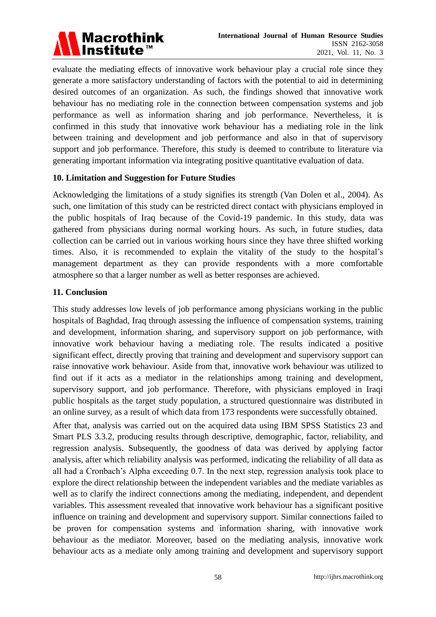

evaluate the mediating effects of innovative work behaviour play a crucial role since they generate a more satisfactory understanding of factors with the potential to aid in determining desired outcomes of an organization. As such, the findings showed that innovative work behaviour has no mediating role in the connection between compensation systems and job performance as well as information sharing and job performance. Nevertheless, it is confirmed in this study that innovative work behaviour has a mediating role in the link between training and development and job performance and also in that of supervisory support and job performance. Therefore, this study is deemed to contribute to literature via generating important information via integrating positive quantitative evaluation of data.

#### **10. Limitation and Suggestion for Future Studies**

Acknowledging the limitations of a study signifies its strength (Van Dolen et al., 2004). As such, one limitation of this study can be restricted direct contact with physicians employed in the public hospitals of Iraq because of the Covid-19 pandemic. In this study, data was gathered from physicians during normal working hours. As such, in future studies, data collection can be carried out in various working hours since they have three shifted working times. Also, it is recommended to explain the vitality of the study to the hospital's management department as they can provide respondents with a more comfortable atmosphere so that a larger number as well as better responses are achieved.

#### **11. Conclusion**

This study addresses low levels of job performance among physicians working in the public hospitals of Baghdad, Iraq through assessing the influence of compensation systems, training and development, information sharing, and supervisory support on job performance, with innovative work behaviour having a mediating role. The results indicated a positive significant effect, directly proving that training and development and supervisory support can raise innovative work behaviour. Aside from that, innovative work behaviour was utilized to find out if it acts as a mediator in the relationships among training and development, supervisory support, and job performance. Therefore, with physicians employed in Iraqi public hospitals as the target study population, a structured questionnaire was distributed in an online survey, as a result of which data from 173 respondents were successfully obtained.

After that, analysis was carried out on the acquired data using IBM SPSS Statistics 23 and Smart PLS 3.3.2, producing results through descriptive, demographic, factor, reliability, and regression analysis. Subsequently, the goodness of data was derived by applying factor analysis, after which reliability analysis was performed, indicating the reliability of all data as all had a Cronbach's Alpha exceeding 0.7. In the next step, regression analysis took place to explore the direct relationship between the independent variables and the mediate variables as well as to clarify the indirect connections among the mediating, independent, and dependent variables. This assessment revealed that innovative work behaviour has a significant positive influence on training and development and supervisory support. Similar connections failed to be proven for compensation systems and information sharing, with innovative work behaviour as the mediator. Moreover, based on the mediating analysis, innovative work behaviour acts as a mediate only among training and development and supervisory support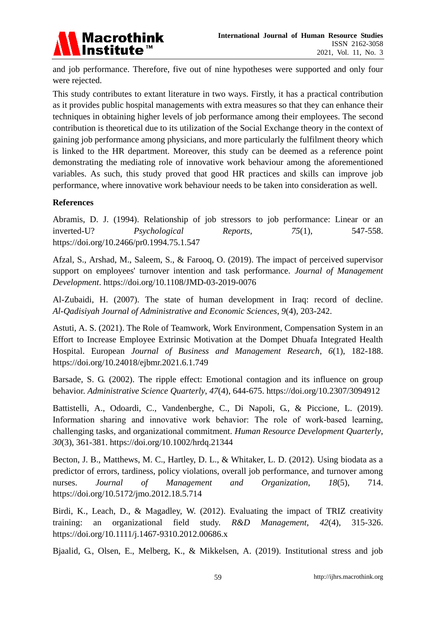

and job performance. Therefore, five out of nine hypotheses were supported and only four were rejected.

This study contributes to extant literature in two ways. Firstly, it has a practical contribution as it provides public hospital managements with extra measures so that they can enhance their techniques in obtaining higher levels of job performance among their employees. The second contribution is theoretical due to its utilization of the Social Exchange theory in the context of gaining job performance among physicians, and more particularly the fulfilment theory which is linked to the HR department. Moreover, this study can be deemed as a reference point demonstrating the mediating role of innovative work behaviour among the aforementioned variables. As such, this study proved that good HR practices and skills can improve job performance, where innovative work behaviour needs to be taken into consideration as well.

#### **References**

Abramis, D. J. (1994). Relationship of job stressors to job performance: Linear or an inverted-U? *Psychological Reports*, *75*(1), 547-558. <https://doi.org/10.2466/pr0.1994.75.1.547>

Afzal, S., Arshad, M., Saleem, S., & Farooq, O. (2019). The impact of perceived supervisor support on employees' turnover intention and task performance. *Journal of Management Development*.<https://doi.org/10.1108/JMD-03-2019-0076>

Al-Zubaidi, H. (2007). The state of human development in Iraq: record of decline. *Al-Qadisiyah Journal of Administrative and Economic Sciences*, *9*(4), 203-242.

Astuti, A. S. (2021). The Role of Teamwork, Work Environment, Compensation System in an Effort to Increase Employee Extrinsic Motivation at the Dompet Dhuafa Integrated Health Hospital. European *Journal of Business and Management Research*, *6*(1), 182-188. <https://doi.org/10.24018/ejbmr.2021.6.1.749>

Barsade, S. G. (2002). The ripple effect: Emotional contagion and its influence on group behavior. *Administrative Science Quarterly*, *47*(4), 644-675.<https://doi.org/10.2307/3094912>

Battistelli, A., Odoardi, C., Vandenberghe, C., Di Napoli, G., & Piccione, L. (2019). Information sharing and innovative work behavior: The role of work-based learning, challenging tasks, and organizational commitment. *Human Resource Development Quarterly*, *30*(3), 361-381.<https://doi.org/10.1002/hrdq.21344>

Becton, J. B., Matthews, M. C., Hartley, D. L., & Whitaker, L. D. (2012). Using biodata as a predictor of errors, tardiness, policy violations, overall job performance, and turnover among nurses. *Journal of Management and Organization*, *18*(5), 714. <https://doi.org/10.5172/jmo.2012.18.5.714>

Birdi, K., Leach, D., & Magadley, W. (2012). Evaluating the impact of TRIZ creativity training: an organizational field study. *R&D Management*, *42*(4), 315-326. <https://doi.org/10.1111/j.1467-9310.2012.00686.x>

Bjaalid, G., Olsen, E., Melberg, K., & Mikkelsen, A. (2019). Institutional stress and job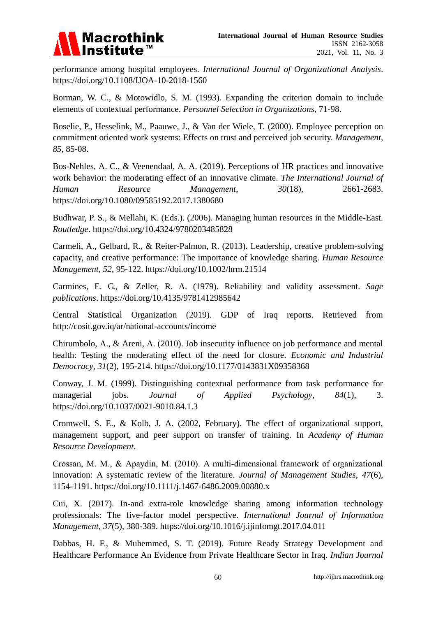

performance among hospital employees. *International Journal of Organizational Analysis*. <https://doi.org/10.1108/IJOA-10-2018-1560>

Borman, W. C., & Motowidlo, S. M. (1993). Expanding the criterion domain to include elements of contextual performance. *Personnel Selection in Organizations,* 71-98.

Boselie, P., Hesselink, M., Paauwe, J., & Van der Wiele, T. (2000). Employee perception on commitment oriented work systems: Effects on trust and perceived job security. *Management, 85*, 85-08.

Bos-Nehles, A. C., & Veenendaal, A. A. (2019). Perceptions of HR practices and innovative work behavior: the moderating effect of an innovative climate. *The International Journal of Human Resource Management*, *30*(18), 2661-2683. <https://doi.org/10.1080/09585192.2017.1380680>

Budhwar, P. S., & Mellahi, K. (Eds.). (2006). Managing human resources in the Middle-East. *Routledge*.<https://doi.org/10.4324/9780203485828>

Carmeli, A., Gelbard, R., & Reiter-Palmon, R. (2013). Leadership, creative problem-solving capacity, and creative performance: The importance of knowledge sharing. *Human Resource Management*, *52*, 95-122.<https://doi.org/10.1002/hrm.21514>

Carmines, E. G., & Zeller, R. A. (1979). Reliability and validity assessment. *Sage publications*.<https://doi.org/10.4135/9781412985642>

Central Statistical Organization (2019). GDP of Iraq reports. Retrieved from <http://cosit.gov.iq/ar/national-accounts/income>

Chirumbolo, A., & Areni, A. (2010). Job insecurity influence on job performance and mental health: Testing the moderating effect of the need for closure. *Economic and Industrial Democracy*, *31*(2), 195-214.<https://doi.org/10.1177/0143831X09358368>

Conway, J. M. (1999). Distinguishing contextual performance from task performance for managerial jobs. *Journal of Applied Psychology*, *84*(1), 3. <https://doi.org/10.1037/0021-9010.84.1.3>

Cromwell, S. E., & Kolb, J. A. (2002, February). The effect of organizational support, management support, and peer support on transfer of training. In *Academy of Human Resource Development*.

Crossan, M. M., & Apaydin, M. (2010). A multi‐dimensional framework of organizational innovation: A systematic review of the literature. *Journal of Management Studies*, *47*(6), 1154-1191.<https://doi.org/10.1111/j.1467-6486.2009.00880.x>

Cui, X. (2017). In-and extra-role knowledge sharing among information technology professionals: The five-factor model perspective. *International Journal of Information Management*, *37*(5), 380-389.<https://doi.org/10.1016/j.ijinfomgt.2017.04.011>

Dabbas, H. F., & Muhemmed, S. T. (2019). Future Ready Strategy Development and Healthcare Performance An Evidence from Private Healthcare Sector in Iraq*. Indian Journal*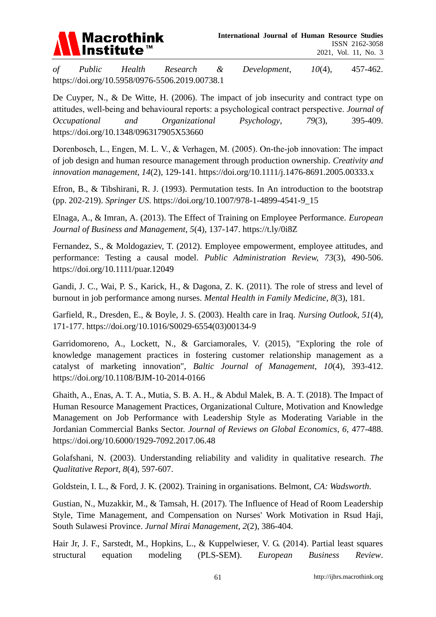

*of Public Health Research & Development*, *10*(4), 457-462. <https://doi.org/10.5958/0976-5506.2019.00738.1>

De Cuyper, N., & De Witte, H. (2006). The impact of job insecurity and contract type on attitudes, well‐being and behavioural reports: a psychological contract perspective. *Journal of Occupational and Organizational Psychology*, *79*(3), 395-409. <https://doi.org/10.1348/096317905X53660>

Dorenbosch, L., Engen, M. L. V., & Verhagen, M. (2005). On-the-job innovation: The impact of job design and human resource management through production ownership. *Creativity and innovation management*, *14*(2), 129-141.<https://doi.org/10.1111/j.1476-8691.2005.00333.x>

Efron, B., & Tibshirani, R. J. (1993). Permutation tests. In An introduction to the bootstrap (pp. 202-219). *Springer US*. [https://doi.org/10.1007/978-1-4899-4541-9\\_15](https://doi.org/10.1007/978-1-4899-4541-9_15)

Elnaga, A., & Imran, A. (2013). The Effect of Training on Employee Performance. *European Journal of Business and Management, 5*(4), 137-147.<https://t.ly/0i8Z>

Fernandez, S., & Moldogaziev, T. (2012). Employee empowerment, employee attitudes, and performance: Testing a causal model. *Public Administration Review, 73*(3), 490-506. <https://doi.org/10.1111/puar.12049>

Gandi, J. C., Wai, P. S., Karick, H., & Dagona, Z. K. (2011). The role of stress and level of burnout in job performance among nurses. *Mental Health in Family Medicine*, *8*(3), 181.

Garfield, R., Dresden, E., & Boyle, J. S. (2003). Health care in Iraq. *Nursing Outlook*, *51*(4), 171-177. [https://doi.org/10.1016/S0029-6554\(03\)00134-9](https://doi.org/10.1016/S0029-6554(03)00134-9)

Garridomoreno, A., Lockett, N., & Garciamorales, V. (2015), "Exploring the role of knowledge management practices in fostering customer relationship management as a catalyst of marketing innovation", *Baltic Journal of Management*, *10*(4), 393-412. <https://doi.org/10.1108/BJM-10-2014-0166>

Ghaith, A., Enas, A. T. A., Mutia, S. B. A. H., & Abdul Malek, B. A. T. (2018). The Impact of Human Resource Management Practices, Organizational Culture, Motivation and Knowledge Management on Job Performance with Leadership Style as Moderating Variable in the Jordanian Commercial Banks Sector. *Journal of Reviews on Global Economics*, *6*, 477-488. <https://doi.org/10.6000/1929-7092.2017.06.48>

Golafshani, N. (2003). Understanding reliability and validity in qualitative research. *The Qualitative Report*, *8*(4), 597-607.

Goldstein, I. L., & Ford, J. K. (2002). Training in organisations. Belmont, *CA: Wadsworth*.

Gustian, N., Muzakkir, M., & Tamsah, H. (2017). The Influence of Head of Room Leadership Style, Time Management, and Compensation on Nurses' Work Motivation in Rsud Haji, South Sulawesi Province. *Jurnal Mirai Management*, *2*(2), 386-404.

Hair Jr, J. F., Sarstedt, M., Hopkins, L., & Kuppelwieser, V. G. (2014). Partial least squares structural equation modeling (PLS-SEM). *European Business Review*.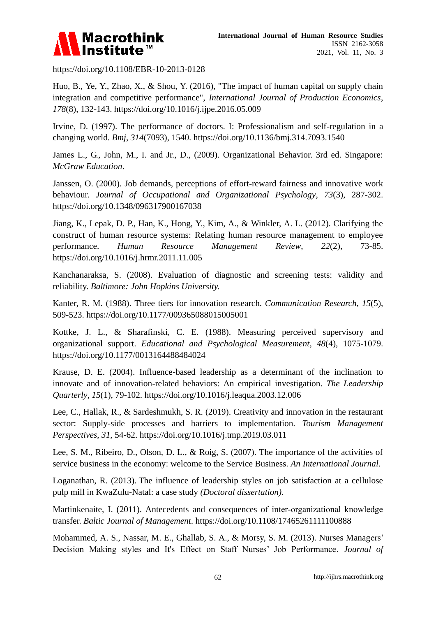

<https://doi.org/10.1108/EBR-10-2013-0128>

Huo, B., Ye, Y., Zhao, X., & Shou, Y. (2016), "The impact of human capital on supply chain integration and competitive performance", *International Journal of Production Economics*, *178*(8), 132-143.<https://doi.org/10.1016/j.ijpe.2016.05.009>

Irvine, D. (1997). The performance of doctors. I: Professionalism and self-regulation in a changing world. *Bmj*, *314*(7093), 1540.<https://doi.org/10.1136/bmj.314.7093.1540>

James L., G., John, M., I. and Jr., D., (2009). Organizational Behavior. 3rd ed. Singapore: *McGraw Education*.

Janssen, O. (2000). Job demands, perceptions of effort-reward fairness and innovative work behaviour. *Journal of Occupational and Organizational Psychology*, *73*(3), 287-302. <https://doi.org/10.1348/096317900167038>

Jiang, K., Lepak, D. P., Han, K., Hong, Y., Kim, A., & Winkler, A. L. (2012). Clarifying the construct of human resource systems: Relating human resource management to employee performance. *Human Resource Management Review*, *22*(2), 73-85. <https://doi.org/10.1016/j.hrmr.2011.11.005>

Kanchanaraksa, S. (2008). Evaluation of diagnostic and screening tests: validity and reliability. *Baltimore: John Hopkins University.*

Kanter, R. M. (1988). Three tiers for innovation research. *Communication Research*, *15*(5), 509-523.<https://doi.org/10.1177/009365088015005001>

Kottke, J. L., & Sharafinski, C. E. (1988). Measuring perceived supervisory and organizational support. *Educational and Psychological Measurement*, *48*(4), 1075-1079. <https://doi.org/10.1177/0013164488484024>

Krause, D. E. (2004). Influence-based leadership as a determinant of the inclination to innovate and of innovation-related behaviors: An empirical investigation. *The Leadership Quarterly*, *15*(1), 79-102.<https://doi.org/10.1016/j.leaqua.2003.12.006>

Lee, C., Hallak, R., & Sardeshmukh, S. R. (2019). Creativity and innovation in the restaurant sector: Supply-side processes and barriers to implementation. *Tourism Management Perspectives*, *31*, 54-62.<https://doi.org/10.1016/j.tmp.2019.03.011>

Lee, S. M., Ribeiro, D., Olson, D. L., & Roig, S. (2007). The importance of the activities of service business in the economy: welcome to the Service Business. *An International Journal*.

Loganathan, R. (2013). The influence of leadership styles on job satisfaction at a cellulose pulp mill in KwaZulu-Natal: a case study *(Doctoral dissertation).*

Martinkenaite, I. (2011). Antecedents and consequences of inter-organizational knowledge transfer. *Baltic Journal of Management*.<https://doi.org/10.1108/17465261111100888>

Mohammed, A. S., Nassar, M. E., Ghallab, S. A., & Morsy, S. M. (2013). Nurses Managers' Decision Making styles and It's Effect on Staff Nurses' Job Performance. *Journal of*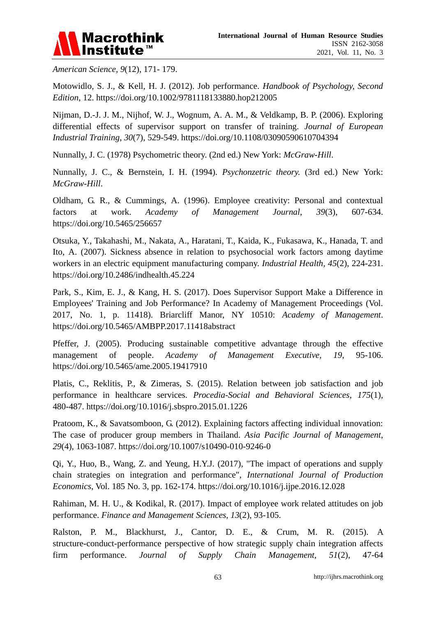

*American Science*, *9*(12), 171- 179.

Motowidlo, S. J., & Kell, H. J. (2012). Job performance. *Handbook of Psychology, Second Edition*, 12.<https://doi.org/10.1002/9781118133880.hop212005>

Nijman, D.-J. J. M., Nijhof, W. J., Wognum, A. A. M., & Veldkamp, B. P. (2006). Exploring differential effects of supervisor support on transfer of training. *Journal of European Industrial Training*, *30*(7), 529-549.<https://doi.org/10.1108/03090590610704394>

Nunnally, J. C. (1978) Psychometric theory. (2nd ed.) New York: *McGraw-Hill*.

Nunnally, J. C., & Bernstein, I. H. (1994). *Psychonzetric theory.* (3rd ed.) New York: *McGraw-Hill*.

Oldham, G. R., & Cummings, A. (1996). Employee creativity: Personal and contextual factors at work. *Academy of Management Journal*, *39*(3), 607-634. <https://doi.org/10.5465/256657>

Otsuka, Y., Takahashi, M., Nakata, A., Haratani, T., Kaida, K., Fukasawa, K., Hanada, T. and Ito, A. (2007). Sickness absence in relation to psychosocial work factors among daytime workers in an electric equipment manufacturing company. *Industrial Health*, *45*(2), 224-231. <https://doi.org/10.2486/indhealth.45.224>

Park, S., Kim, E. J., & Kang, H. S. (2017). Does Supervisor Support Make a Difference in Employees' Training and Job Performance? In Academy of Management Proceedings (Vol. 2017, No. 1, p. 11418). Briarcliff Manor, NY 10510: *Academy of Management*. <https://doi.org/10.5465/AMBPP.2017.11418abstract>

Pfeffer, J. (2005). Producing sustainable competitive advantage through the effective management of people. *Academy of Management Executive, 19*, 95-106. <https://doi.org/10.5465/ame.2005.19417910>

Platis, C., Reklitis, P., & Zimeras, S. (2015). Relation between job satisfaction and job performance in healthcare services. *Procedia-Social and Behavioral Sciences*, *175*(1), 480-487.<https://doi.org/10.1016/j.sbspro.2015.01.1226>

Pratoom, K., & Savatsomboon, G. (2012). Explaining factors affecting individual innovation: The case of producer group members in Thailand. *Asia Pacific Journal of Management*, *29*(4), 1063-1087.<https://doi.org/10.1007/s10490-010-9246-0>

Qi, Y., Huo, B., Wang, Z. and Yeung, H.Y.J. (2017), "The impact of operations and supply chain strategies on integration and performance", *International Journal of Production Economics*, Vol. 185 No. 3, pp. 162-174.<https://doi.org/10.1016/j.ijpe.2016.12.028>

Rahiman, M. H. U., & Kodikal, R. (2017). Impact of employee work related attitudes on job performance. *Finance and Management Sciences*, *13*(2), 93-105.

Ralston, P. M., Blackhurst, J., Cantor, D. E., & Crum, M. R. (2015). A structure-conduct-performance perspective of how strategic supply chain integration affects firm performance. *Journal of Supply Chain Management*, *51*(2), 47-64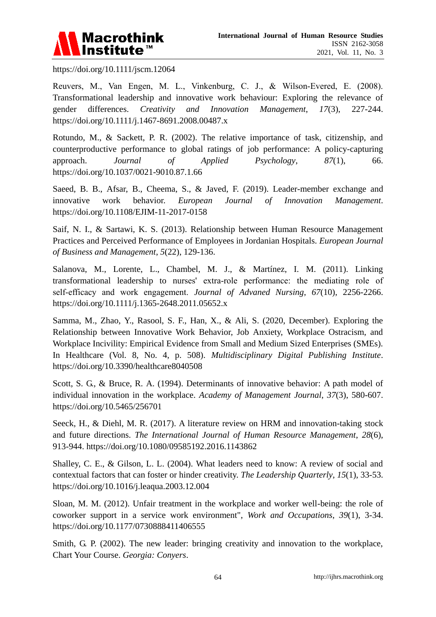

<https://doi.org/10.1111/jscm.12064>

Reuvers, M., Van Engen, M. L., Vinkenburg, C. J., & Wilson‐Evered, E. (2008). Transformational leadership and innovative work behaviour: Exploring the relevance of gender differences. *Creativity and Innovation Management*, *17*(3), 227-244. <https://doi.org/10.1111/j.1467-8691.2008.00487.x>

Rotundo, M., & Sackett, P. R. (2002). The relative importance of task, citizenship, and counterproductive performance to global ratings of job performance: A policy-capturing approach. *Journal of Applied Psychology*, *87*(1), 66. <https://doi.org/10.1037/0021-9010.87.1.66>

Saeed, B. B., Afsar, B., Cheema, S., & Javed, F. (2019). Leader-member exchange and innovative work behavior. *European Journal of Innovation Management*. <https://doi.org/10.1108/EJIM-11-2017-0158>

Saif, N. I., & Sartawi, K. S. (2013). Relationship between Human Resource Management Practices and Perceived Performance of Employees in Jordanian Hospitals. *European Journal of Business and Management*, *5*(22), 129-136.

Salanova, M., Lorente, L., Chambel, M. J., & Martínez, I. M. (2011). Linking transformational leadership to nurses' extra‐role performance: the mediating role of self‐efficacy and work engagement. *Journal of Advaned Nursing*, *67*(10), 2256-2266. <https://doi.org/10.1111/j.1365-2648.2011.05652.x>

Samma, M., Zhao, Y., Rasool, S. F., Han, X., & Ali, S. (2020, December). Exploring the Relationship between Innovative Work Behavior, Job Anxiety, Workplace Ostracism, and Workplace Incivility: Empirical Evidence from Small and Medium Sized Enterprises (SMEs). In Healthcare (Vol. 8, No. 4, p. 508). *Multidisciplinary Digital Publishing Institute*. <https://doi.org/10.3390/healthcare8040508>

Scott, S. G., & Bruce, R. A. (1994). Determinants of innovative behavior: A path model of individual innovation in the workplace. *Academy of Management Journal*, *37*(3), 580-607. <https://doi.org/10.5465/256701>

Seeck, H., & Diehl, M. R. (2017). A literature review on HRM and innovation-taking stock and future directions. *The International Journal of Human Resource Management*, *28*(6), 913-944.<https://doi.org/10.1080/09585192.2016.1143862>

Shalley, C. E., & Gilson, L. L. (2004). What leaders need to know: A review of social and contextual factors that can foster or hinder creativity. *The Leadership Quarterly*, *15*(1), 33-53. <https://doi.org/10.1016/j.leaqua.2003.12.004>

Sloan, M. M. (2012). Unfair treatment in the workplace and worker well-being: the role of coworker support in a service work environment", *Work and Occupations*, *39*(1), 3-34. <https://doi.org/10.1177/0730888411406555>

Smith, G. P. (2002). The new leader: bringing creativity and innovation to the workplace, Chart Your Course. *Georgia: Conyers*.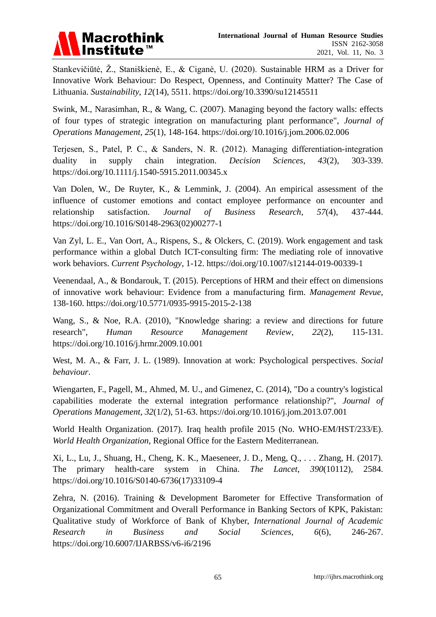

Stankevičiūtė, Ž., Staniškienė, E., & Ciganė, U. (2020). Sustainable HRM as a Driver for Innovative Work Behaviour: Do Respect, Openness, and Continuity Matter? The Case of Lithuania. *Sustainability*, *12*(14), 5511.<https://doi.org/10.3390/su12145511>

Swink, M., Narasimhan, R., & Wang, C. (2007). Managing beyond the factory walls: effects of four types of strategic integration on manufacturing plant performance", *Journal of Operations Management*, *25*(1), 148-164.<https://doi.org/10.1016/j.jom.2006.02.006>

Terjesen, S., Patel, P. C., & Sanders, N. R. (2012). Managing differentiation‐integration duality in supply chain integration. *Decision Sciences*, *43*(2), 303-339. <https://doi.org/10.1111/j.1540-5915.2011.00345.x>

Van Dolen, W., De Ruyter, K., & Lemmink, J. (2004). An empirical assessment of the influence of customer emotions and contact employee performance on encounter and relationship satisfaction. *Journal of Business Research*, *57*(4), 437-444. [https://doi.org/10.1016/S0148-2963\(02\)00277-1](https://doi.org/10.1016/S0148-2963(02)00277-1)

Van Zyl, L. E., Van Oort, A., Rispens, S., & Olckers, C. (2019). Work engagement and task performance within a global Dutch ICT-consulting firm: The mediating role of innovative work behaviors. *Current Psychology*, 1-12.<https://doi.org/10.1007/s12144-019-00339-1>

Veenendaal, A., & Bondarouk, T. (2015). Perceptions of HRM and their effect on dimensions of innovative work behaviour: Evidence from a manufacturing firm. *Management Revue*, 138-160.<https://doi.org/10.5771/0935-9915-2015-2-138>

Wang, S., & Noe, R.A. (2010), "Knowledge sharing: a review and directions for future research", *Human Resource Management Review*, *22*(2), 115-131. <https://doi.org/10.1016/j.hrmr.2009.10.001>

West, M. A., & Farr, J. L. (1989). Innovation at work: Psychological perspectives. *Social behaviour*.

Wiengarten, F., Pagell, M., Ahmed, M. U., and Gimenez, C. (2014), "Do a country's logistical capabilities moderate the external integration performance relationship?", *Journal of Operations Management*, *32*(1/2), 51-63.<https://doi.org/10.1016/j.jom.2013.07.001>

World Health Organization. (2017). Iraq health profile 2015 (No. WHO-EM/HST/233/E). *World Health Organization,* Regional Office for the Eastern Mediterranean.

Xi, L., Lu, J., Shuang, H., Cheng, K. K., Maeseneer, J. D., Meng, Q., . . . Zhang, H. (2017). The primary health-care system in China. *The Lancet*, *390*(10112), 2584. [https://doi.org/10.1016/S0140-6736\(17\)33109-4](https://doi.org/10.1016/S0140-6736(17)33109-4)

Zehra, N. (2016). Training & Development Barometer for Effective Transformation of Organizational Commitment and Overall Performance in Banking Sectors of KPK, Pakistan: Qualitative study of Workforce of Bank of Khyber, *International Journal of Academic Research in Business and Social Sciences*, *6*(6), 246-267. <https://doi.org/10.6007/IJARBSS/v6-i6/2196>